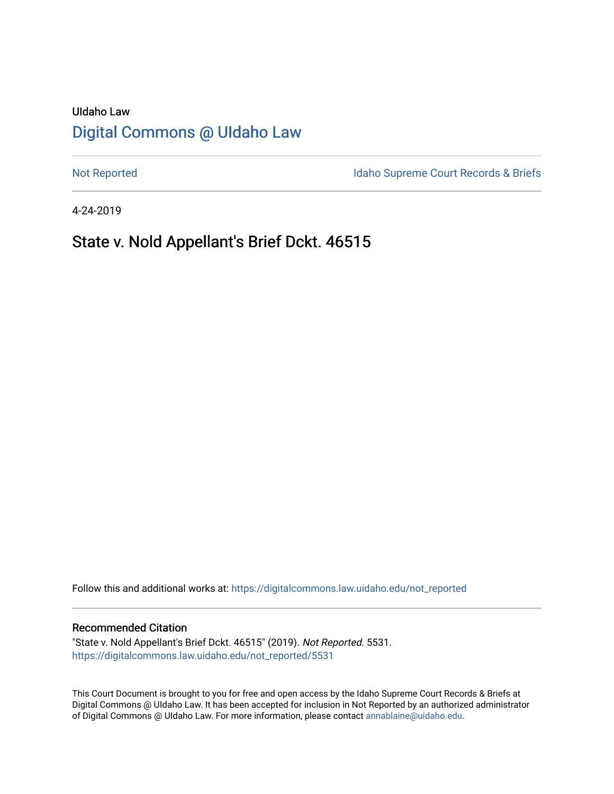# UIdaho Law [Digital Commons @ UIdaho Law](https://digitalcommons.law.uidaho.edu/)

[Not Reported](https://digitalcommons.law.uidaho.edu/not_reported) **Idaho Supreme Court Records & Briefs** 

4-24-2019

# State v. Nold Appellant's Brief Dckt. 46515

Follow this and additional works at: [https://digitalcommons.law.uidaho.edu/not\\_reported](https://digitalcommons.law.uidaho.edu/not_reported?utm_source=digitalcommons.law.uidaho.edu%2Fnot_reported%2F5531&utm_medium=PDF&utm_campaign=PDFCoverPages) 

#### Recommended Citation

"State v. Nold Appellant's Brief Dckt. 46515" (2019). Not Reported. 5531. [https://digitalcommons.law.uidaho.edu/not\\_reported/5531](https://digitalcommons.law.uidaho.edu/not_reported/5531?utm_source=digitalcommons.law.uidaho.edu%2Fnot_reported%2F5531&utm_medium=PDF&utm_campaign=PDFCoverPages)

This Court Document is brought to you for free and open access by the Idaho Supreme Court Records & Briefs at Digital Commons @ UIdaho Law. It has been accepted for inclusion in Not Reported by an authorized administrator of Digital Commons @ UIdaho Law. For more information, please contact [annablaine@uidaho.edu](mailto:annablaine@uidaho.edu).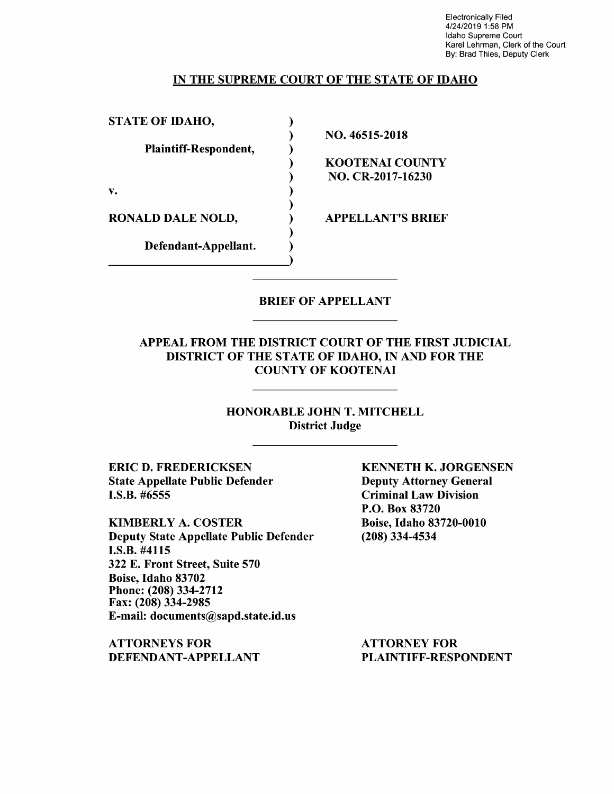Electronically Filed 4/24/2019 1:58 PM Idaho Supreme Court Karel Lehrman, Clerk of the Court By: Brad Thies, Deputy Clerk

#### IN THE SUPREME COURT OF THE STATE OF IDAHO

| <b>STATE OF IDAHO,</b>   |                          |
|--------------------------|--------------------------|
|                          | NO. 46515-2018           |
| Plaintiff-Respondent,    |                          |
|                          | <b>KOOTENAI COUNTY</b>   |
|                          | NO. CR-2017-16230        |
| v.                       |                          |
| <b>RONALD DALE NOLD,</b> | <b>APPELLANT'S BRIEF</b> |
| Defendant-Appellant.     |                          |
|                          |                          |

### BRIEF OF APPELLANT

### APPEAL FROM THE DISTRICT COURT OF THE FIRST JUDICIAL DISTRICT OF THE STATE OF IDAHO, IN AND FOR THE COUNTY OF KOOTENAI

HONORABLE JOHN T. MITCHELL District Judge

**ERIC D. FREDERICKSEN**  State Appellate Public Defender I.S.B. #6555

KIMBERLY A. COSTER Deputy State Appellate Public Defender **I.S.B.** #4115 322 E. Front Street, Suite 570 Boise, Idaho 83702 Phone: (208) 334-2712 Fax: (208) 334-2985 E-mail: documents@sapd.state.id.us

**ATTORNEYS FOR DEFENDANT-APPELLANT**  **KENNETH K. JORGENSEN**  Deputy Attorney General Criminal Law Division P.O. Box 83720 Boise, Idaho 83720-0010 (208) 334-4534

ATTORNEY FOR PLAINTIFF-RESPONDENT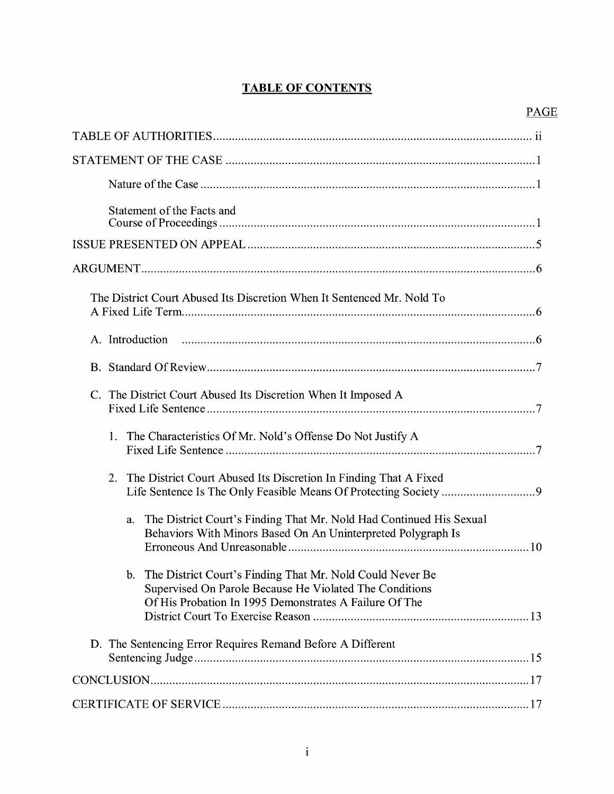## **TABLE OF CONTENTS**

| Statement of the Facts and                                                                                                                                                                       |
|--------------------------------------------------------------------------------------------------------------------------------------------------------------------------------------------------|
|                                                                                                                                                                                                  |
|                                                                                                                                                                                                  |
| The District Court Abused Its Discretion When It Sentenced Mr. Nold To                                                                                                                           |
|                                                                                                                                                                                                  |
|                                                                                                                                                                                                  |
| C. The District Court Abused Its Discretion When It Imposed A                                                                                                                                    |
| The Characteristics Of Mr. Nold's Offense Do Not Justify A<br>1.                                                                                                                                 |
| The District Court Abused Its Discretion In Finding That A Fixed<br>2.                                                                                                                           |
| The District Court's Finding That Mr. Nold Had Continued His Sexual<br>a.<br>Behaviors With Minors Based On An Uninterpreted Polygraph Is                                                        |
| The District Court's Finding That Mr. Nold Could Never Be<br>$\mathbf{b}$ .<br>Supervised On Parole Because He Violated The Conditions<br>Of His Probation In 1995 Demonstrates A Failure Of The |
| D. The Sentencing Error Requires Remand Before A Different                                                                                                                                       |
|                                                                                                                                                                                                  |
|                                                                                                                                                                                                  |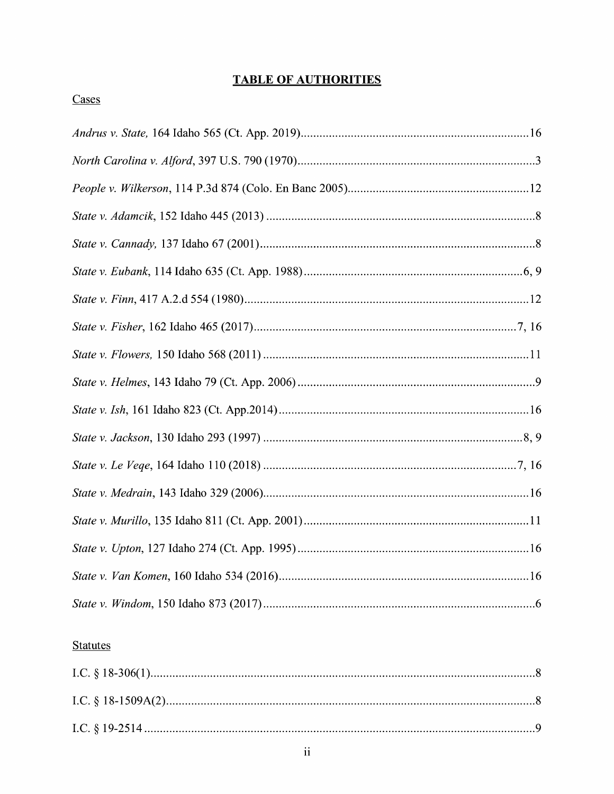## **TABLE OF AUTHORITIES**

### **Statutes**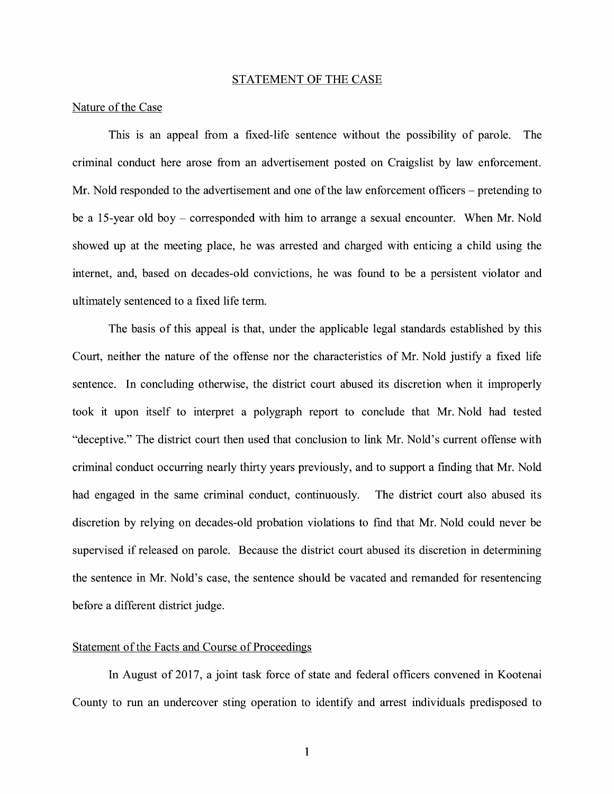#### STATEMENT OF THE CASE

#### Nature of the Case

This is an appeal from a fixed-life sentence without the possibility of parole. The criminal conduct here arose from an advertisement posted on Craigslist by law enforcement. Mr. Nold responded to the advertisement and one of the law enforcement officers – pretending to be a 15-year old boy - corresponded with him to arrange a sexual encounter. When Mr. Nold showed up at the meeting place, he was arrested and charged with enticing a child using the internet, and, based on decades-old convictions, he was found to be a persistent violator and ultimately sentenced to a fixed life term.

The basis of this appeal is that, under the applicable legal standards established by this Court, neither the nature of the offense nor the characteristics of Mr. Nold justify a fixed life sentence. In concluding otherwise, the district court abused its discretion when it improperly took it upon itself to interpret a polygraph report to conclude that Mr. Nold had tested "deceptive." The district court then used that conclusion to link Mr. Nold's current offense with criminal conduct occurring nearly thirty years previously, and to support a finding that Mr. Nold had engaged in the same criminal conduct, continuously. The district court also abused its discretion by relying on decades-old probation violations to find that Mr. Nold could never be supervised if released on parole. Because the district court abused its discretion in determining the sentence in Mr. Nold's case, the sentence should be vacated and remanded for resentencing before a different district judge.

#### Statement of the Facts and Course of Proceedings

In August of 2017, a joint task force of state and federal officers convened in Kootenai County to run an undercover sting operation to identify and arrest individuals predisposed to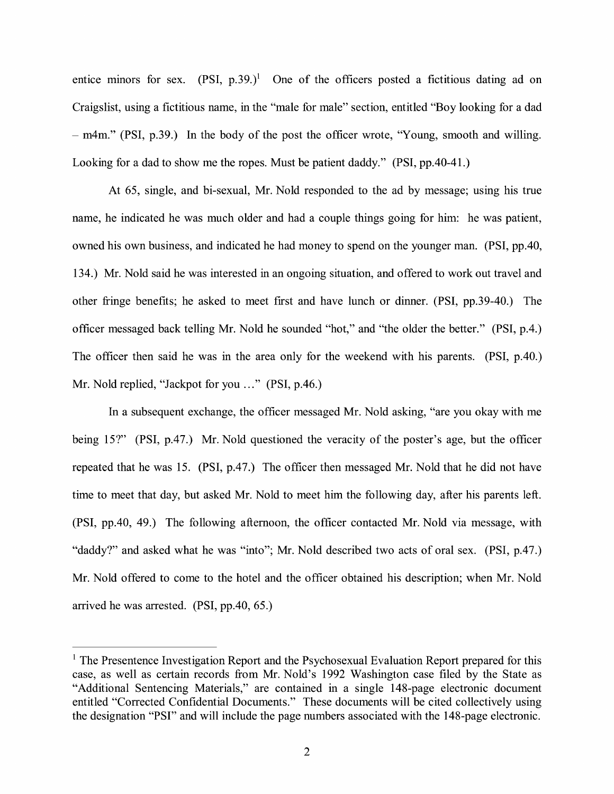entice minors for sex.  $(PSI, p.39.)^1$  One of the officers posted a fictitious dating ad on Craigslist, using a fictitious name, in the "male for male" section, entitled "Boy looking for a dad - m4m." (PSI, p.39.) In the body of the post the officer wrote, "Young, smooth and willing. Looking for a dad to show me the ropes. Must be patient daddy." (PSI, pp.40-41.)

At 65, single, and bi-sexual, Mr. Nold responded to the ad by message; using his true name, he indicated he was much older and had a couple things going for him: he was patient, owned his own business, and indicated he had money to spend on the younger man. (PSI, pp.40, 134.) Mr. Nold said he was interested in an ongoing situation, and offered to work out travel and other fringe benefits; he asked to meet first and have lunch or dinner. (PSI, pp.39-40.) The officer messaged back telling Mr. Nold he sounded "hot," and "the older the better." (PSI, p.4.) The officer then said he was in the area only for the weekend with his parents. (PSI, p.40.) Mr. Nold replied, "Jackpot for you ..." (PSI, p.46.)

In a subsequent exchange, the officer messaged Mr. Nold asking, "are you okay with me being 15?" (PSI, p.47.) Mr. Nold questioned the veracity of the poster's age, but the officer repeated that he was 15. (PSI, p.47.) The officer then messaged Mr. Nold that he did not have time to meet that day, but asked Mr. Nold to meet him the following day, after his parents left. (PSI, pp.40, 49.) The following afternoon, the officer contacted Mr. Nold via message, with "daddy?" and asked what he was "into"; Mr. Nold described two acts of oral sex. (PSI, p.47.) Mr. Nold offered to come to the hotel and the officer obtained his description; when Mr. Nold arrived he was arrested. (PSI, pp.40, 65.)

 $<sup>1</sup>$  The Presentence Investigation Report and the Psychosexual Evaluation Report prepared for this</sup> case, as well as certain records from Mr. Nold's 1992 Washington case filed by the State as "Additional Sentencing Materials," are contained in a single 148-page electronic document entitled "Corrected Confidential Documents." These documents will be cited collectively using the designation "PSI" and will include the page numbers associated with the 148-page electronic.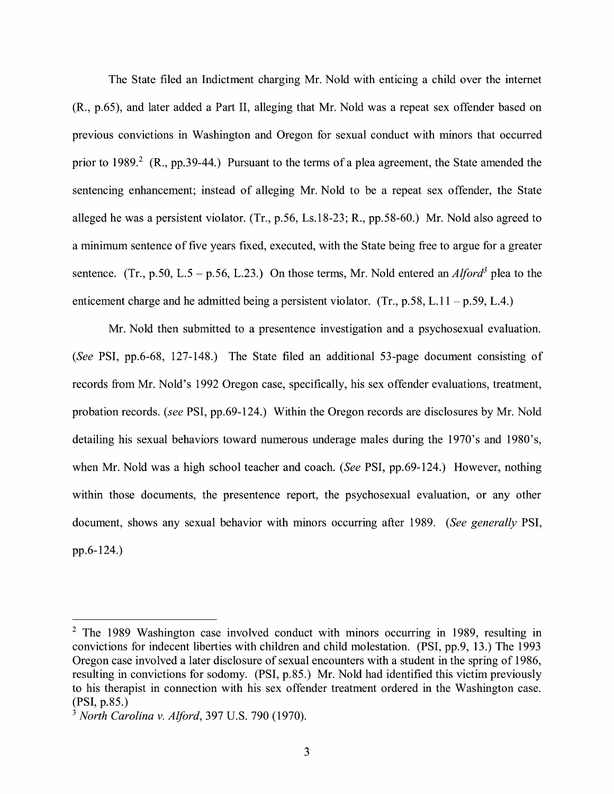The State filed an Indictment charging Mr. Nold with enticing a child over the internet (R., p.65), and later added a Part II, alleging that Mr. Nold was a repeat sex offender based on previous convictions in Washington and Oregon for sexual conduct with minors that occurred prior to 1989.<sup>2</sup> (R., pp.39-44.) Pursuant to the terms of a plea agreement, the State amended the sentencing enhancement; instead of alleging Mr. Nold to be a repeat sex offender, the State alleged he was a persistent violator. (Tr., p.56, Ls.18-23; R., pp.58-60.) Mr. Nold also agreed to a minimum sentence of five years fixed, executed, with the State being free to argue for a greater sentence. (Tr., p.50, L.5 - p.56, L.23.) On those terms, Mr. Nold entered an *Alford3* plea to the enticement charge and he admitted being a persistent violator. (Tr., p.58, L.11 - p.59, L.4.)

Mr. Nold then submitted to a presentence investigation and a psychosexual evaluation. *(See* PSI, pp.6-68, 127-148.) The State filed an additional 53-page document consisting of records from Mr. Nold's 1992 Oregon case, specifically, his sex offender evaluations, treatment, probation records. *(see* PSI, pp.69-124.) Within the Oregon records are disclosures by Mr. Nold detailing his sexual behaviors toward numerous underage males during the 1970's and 1980's, when Mr. Nold was a high school teacher and coach. *(See* PSI, pp.69-124.) However, nothing within those documents, the presentence report, the psychosexual evaluation, or any other document, shows any sexual behavior with minors occurring after 1989. *(See generally* PSI, pp.6-124.)

<sup>&</sup>lt;sup>2</sup> The 1989 Washington case involved conduct with minors occurring in 1989, resulting in convictions for indecent liberties with children and child molestation. (PSI, pp.9, 13.) The 1993 Oregon case involved a later disclosure of sexual encounters with a student in the spring of 1986, resulting in convictions for sodomy. (PSI, p.85.) Mr. Nold had identified this victim previously to his therapist in connection with his sex offender treatment ordered in the Washington case. (PSI, p.85.)

<sup>3</sup>*North Carolina v. Alford,* 397 U.S. 790 (1970).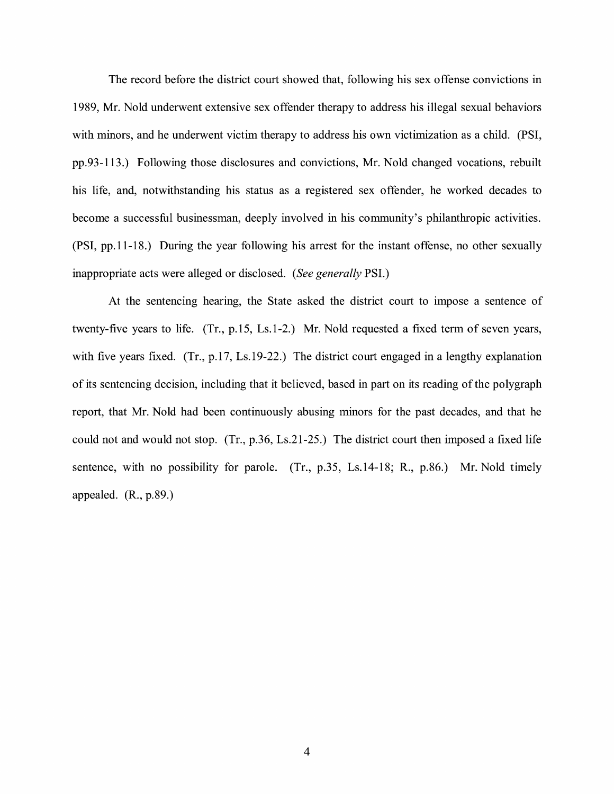The record before the district court showed that, following his sex offense convictions in 1989, Mr. Nold underwent extensive sex offender therapy to address his illegal sexual behaviors with minors, and he underwent victim therapy to address his own victimization as a child. (PSI, pp.93-113.) Following those disclosures and convictions, Mr. Nold changed vocations, rebuilt his life, and, notwithstanding his status as a registered sex offender, he worked decades to become a successful businessman, deeply involved in his community's philanthropic activities. (PSI, pp.11-18.) During the year following his arrest for the instant offense, no other sexually inappropriate acts were alleged or disclosed. *(See generally* PSI.)

At the sentencing hearing, the State asked the district court to impose a sentence of twenty-five years to life. (Tr., p.15, Ls.1-2.) Mr. Nold requested a fixed term of seven years, with five years fixed. (Tr., p.17, Ls.19-22.) The district court engaged in a lengthy explanation of its sentencing decision, including that it believed, based in part on its reading of the polygraph report, that Mr. Nold had been continuously abusing minors for the past decades, and that he could not and would not stop. (Tr., p.36, Ls.21-25.) The district court then imposed a fixed life sentence, with no possibility for parole. (Tr., p.35, Ls.14-18; R., p.86.) Mr. Nold timely appealed. (R., p.89.)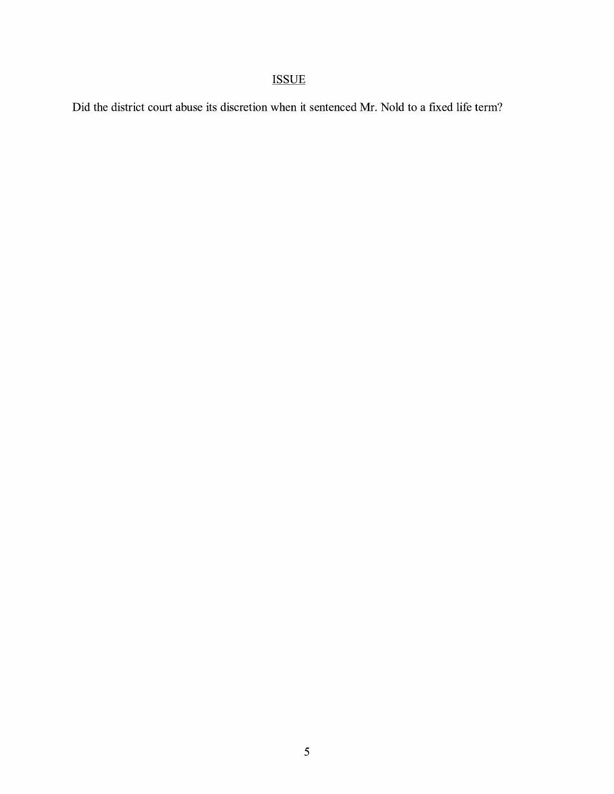# ISSUE

Did the district court abuse its discretion when it sentenced Mr. Nold to a fixed life term?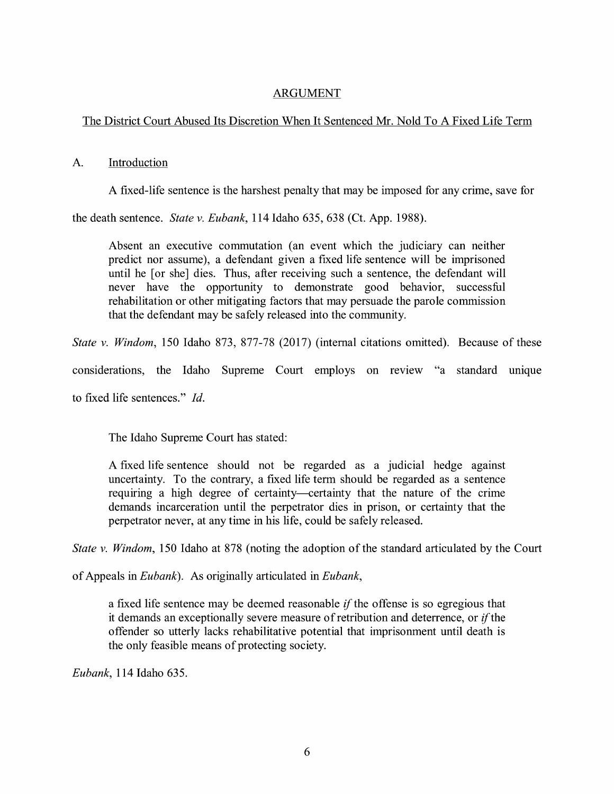### ARGUMENT

### The District Court Abused Its Discretion When It Sentenced Mr. Nold To A Fixed Life Term

### A. Introduction

A fixed-life sentence is the harshest penalty that may be imposed for any crime, save for

the death sentence. *State v. Eubank,* 114 Idaho 635, 638 (Ct. App. 1988).

Absent an executive commutation (an event which the judiciary can neither predict nor assume), a defendant given a fixed life sentence will be imprisoned until he [or she] dies. Thus, after receiving such a sentence, the defendant will never have the opportunity to demonstrate good behavior, successful rehabilitation or other mitigating factors that may persuade the parole commission that the defendant may be safely released into the community.

*State v. Windom,* 150 Idaho 873, 877-78 (2017) (internal citations omitted). Because of these

considerations, the Idaho Supreme Court employs on review "a standard unique

to fixed life sentences." *Id.* 

The Idaho Supreme Court has stated:

A fixed life sentence should not be regarded as a judicial hedge against uncertainty. To the contrary, a fixed life term should be regarded as a sentence requiring a high degree of certainty-certainty that the nature of the crime demands incarceration until the perpetrator dies in prison, or certainty that the perpetrator never, at any time in his life, could be safely released.

*State v. Windom,* 150 Idaho at 878 (noting the adoption of the standard articulated by the Court

of Appeals in *Eubank).* As originally articulated in *Eubank,* 

a fixed life sentence may be deemed reasonable *if* the offense is so egregious that it demands an exceptionally severe measure of retribution and deterrence, or  $if$  the offender so utterly lacks rehabilitative potential that imprisonment until death is the only feasible means of protecting society.

*Eubank,* 114 Idaho 635.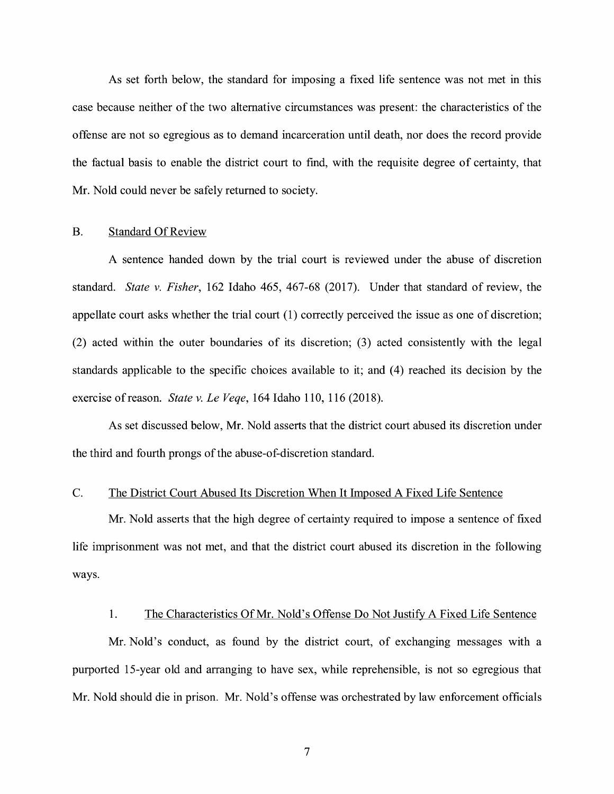As set forth below, the standard for imposing a fixed life sentence was not met in this case because neither of the two alternative circumstances was present: the characteristics of the offense are not so egregious as to demand incarceration until death, nor does the record provide the factual basis to enable the district court to find, with the requisite degree of certainty, that Mr. Nold could never be safely returned to society.

#### B. Standard Of Review

A sentence handed down by the trial court is reviewed under the abuse of discretion standard. *State v. Fisher,* 162 Idaho 465, 467-68 (2017). Under that standard of review, the appellate court asks whether the trial court (1) correctly perceived the issue as one of discretion; (2) acted within the outer boundaries of its discretion; (3) acted consistently with the legal standards applicable to the specific choices available to it; and (4) reached its decision by the exercise of reason. *State v. Le Veqe*, 164 Idaho 110, 116 (2018).

As set discussed below, Mr. Nold asserts that the district court abused its discretion under the third and fourth prongs of the abuse-of-discretion standard.

### C. The District Court Abused Its Discretion When It Imposed A Fixed Life Sentence

Mr. Nold asserts that the high degree of certainty required to impose a sentence of fixed life imprisonment was not met, and that the district court abused its discretion in the following ways.

#### 1. The Characteristics Of Mr. Nold's Offense Do Not Justify A Fixed Life Sentence

Mr. Nold's conduct, as found by the district court, of exchanging messages with a purported 15-year old and arranging to have sex, while reprehensible, is not so egregious that Mr. Nold should die in prison. Mr. Nold's offense was orchestrated by law enforcement officials

7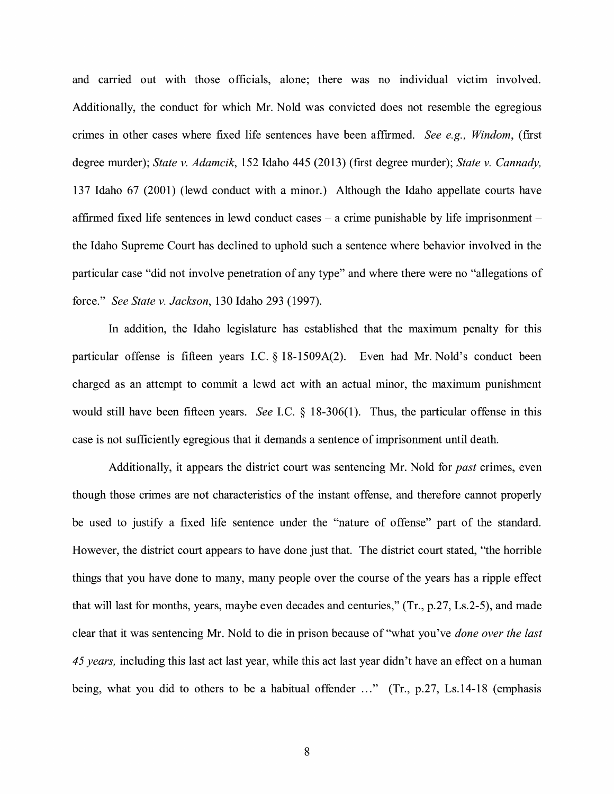and carried out with those officials, alone; there was no individual victim involved. Additionally, the conduct for which Mr. Nold was convicted does not resemble the egregious crimes in other cases where fixed life sentences have been affirmed. *See e.g., Windom,* (first degree murder); *State v. Adamcik,* 152 Idaho 445 (2013) (first degree murder); *State v. Cannady,*  137 Idaho 67 (2001) (lewd conduct with a minor.) Although the Idaho appellate courts have affirmed fixed life sentences in lewd conduct cases  $-$  a crime punishable by life imprisonment  $$ the Idaho Supreme Court has declined to uphold such a sentence where behavior involved in the particular case "did not involve penetration of any type" and where there were no "allegations of force." *See State v. Jackson,* 130 Idaho 293 (1997).

In addition, the Idaho legislature has established that the maximum penalty for this particular offense is fifteen years LC. § 18-1509A(2). Even had Mr. Nold's conduct been charged as an attempt to commit a lewd act with an actual minor, the maximum punishment would still have been fifteen years. *See* I.C. § 18-306(1). Thus, the particular offense in this case is not sufficiently egregious that it demands a sentence of imprisonment until death.

Additionally, it appears the district court was sentencing Mr. Nold for *past* crimes, even though those crimes are not characteristics of the instant offense, and therefore cannot properly be used to justify a fixed life sentence under the "nature of offense" part of the standard. However, the district court appears to have done just that. The district court stated, "the horrible things that you have done to many, many people over the course of the years has a ripple effect that will last for months, years, maybe even decades and centuries," (Tr., p.27, Ls.2-5), and made clear that it was sentencing Mr. Nold to die in prison because of "what you've *done over the last 45 years,* including this last act last year, while this act last year didn't have an effect on a human being, what you did to others to be a habitual offender ..." (Tr., p.27, Ls.14-18 (emphasis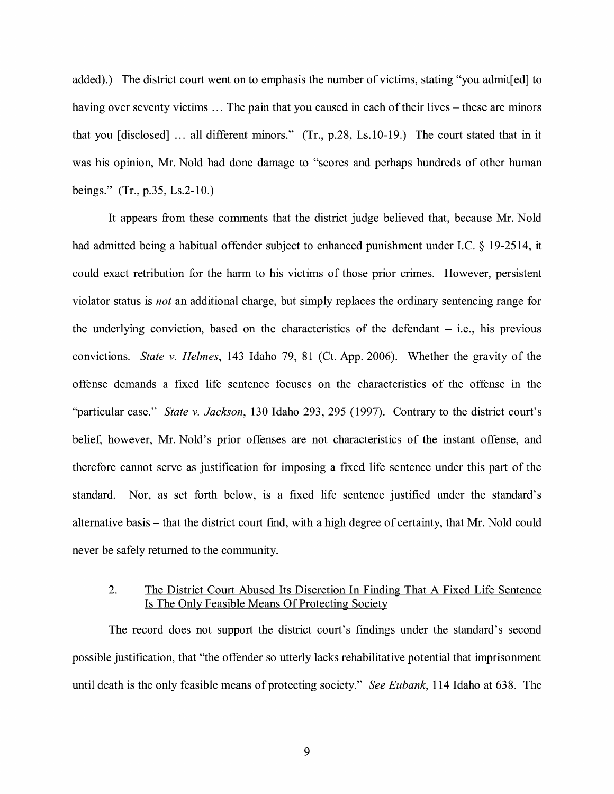added).) The district court went on to emphasis the number of victims, stating "you admit[ed] to having over seventy victims ... The pain that you caused in each of their lives – these are minors that you [disclosed] ... all different minors." (Tr., p.28, Ls.10-19.) The court stated that in it was his opinion, Mr. Nold had done damage to "scores and perhaps hundreds of other human beings." (Tr., p.35, Ls.2-10.)

It appears from these comments that the district judge believed that, because Mr. Nold had admitted being a habitual offender subject to enhanced punishment under LC. § 19-2514, it could exact retribution for the harm to his victims of those prior crimes. However, persistent violator status is *not* an additional charge, but simply replaces the ordinary sentencing range for the underlying conviction, based on the characteristics of the defendant  $-$  i.e., his previous convictions. *State v. Helmes,* 143 Idaho 79, 81 (Ct. App. 2006). Whether the gravity of the offense demands a fixed life sentence focuses on the characteristics of the offense in the "particular case." *State v. Jackson,* 130 Idaho 293, 295 (1997). Contrary to the district court's belief, however, Mr. Nold's prior offenses are not characteristics of the instant offense, and therefore cannot serve as justification for imposing a fixed life sentence under this part of the standard. Nor, as set forth below, is a fixed life sentence justified under the standard's alternative basis – that the district court find, with a high degree of certainty, that Mr. Nold could never be safely returned to the community.

#### 2. The District Court Abused Its Discretion In Finding That A Fixed Life Sentence Is The Only Feasible Means Of Protecting Society

The record does not support the district court's findings under the standard's second possible justification, that "the offender so utterly lacks rehabilitative potential that imprisonment until death is the only feasible means of protecting society." *See Eubank,* 114 Idaho at 638. The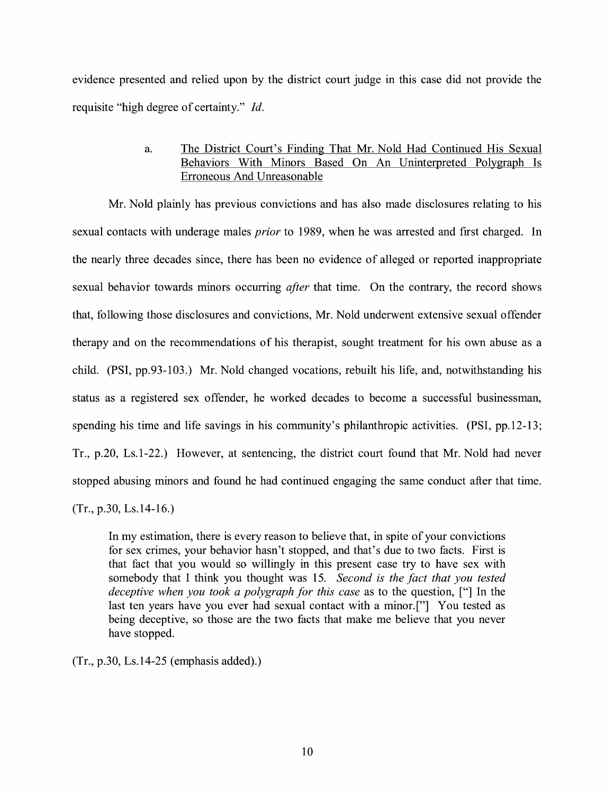evidence presented and relied upon by the district court judge in this case did not provide the requisite "high degree of certainty." *Id.* 

### a. The District Court's Finding That Mr. Nold Had Continued His Sexual Behaviors With Minors Based On An Uninterpreted Polygraph Is Erroneous And Unreasonable

Mr. Nold plainly has previous convictions and has also made disclosures relating to his sexual contacts with underage males *prior* to 1989, when he was arrested and first charged. In the nearly three decades since, there has been no evidence of alleged or reported inappropriate sexual behavior towards minors occurring *after* that time. On the contrary, the record shows that, following those disclosures and convictions, Mr. Nold underwent extensive sexual offender therapy and on the recommendations of his therapist, sought treatment for his own abuse as a child. **(PSI,** pp.93-103.) Mr. Nold changed vocations, rebuilt his life, and, notwithstanding his status as a registered sex offender, he worked decades to become a successful businessman, spending his time and life savings in his community's philanthropic activities. (PSI, pp.12-13; Tr., p.20, Ls.1-22.) However, at sentencing, the district court found that Mr. Nold had never stopped abusing minors and found he had continued engaging the same conduct after that time. (Tr., p.30, Ls.14-16.)

In my estimation, there is every reason to believe that, in spite of your convictions for sex crimes, your behavior hasn't stopped, and that's due to two facts. First is that fact that you would so willingly in this present case try to have sex with somebody that I think you thought was 15. *Second is the fact that you tested deceptive when you took a polygraph for this case* as to the question, ["] In the last ten years have you ever had sexual contact with a minor.["] You tested as being deceptive, so those are the two facts that make me believe that you never have stopped.

(Tr., p.30, Ls.14-25 (emphasis added).)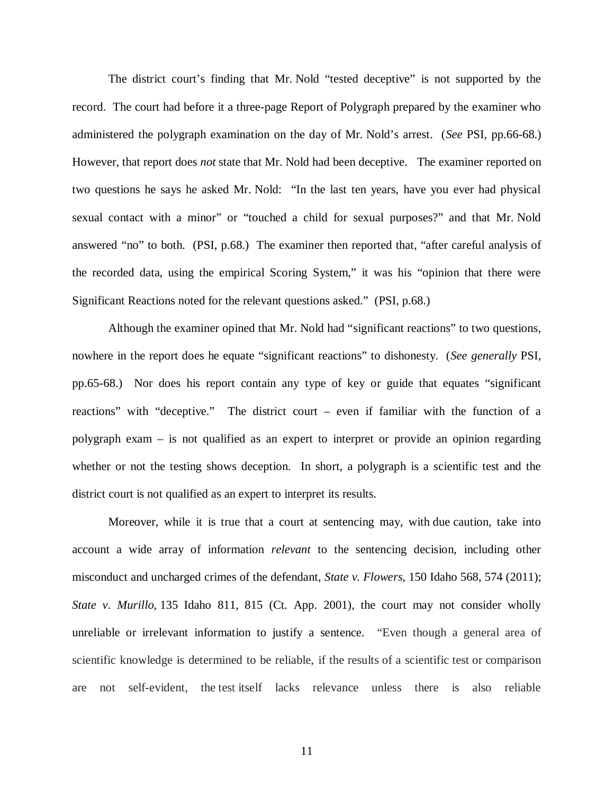The district court's finding that Mr. Nold "tested deceptive" is not supported by the record. The court had before it a three-page Report of Polygraph prepared by the examiner who administered the polygraph examination on the day of Mr. Nold's arrest. (*See* PSI, pp.66-68.) However, that report does *not* state that Mr. Nold had been deceptive. The examiner reported on two questions he says he asked Mr. Nold: "In the last ten years, have you ever had physical sexual contact with a minor" or "touched a child for sexual purposes?" and that Mr. Nold answered "no" to both. (PSI, p.68.) The examiner then reported that, "after careful analysis of the recorded data, using the empirical Scoring System," it was his "opinion that there were Significant Reactions noted for the relevant questions asked." (PSI, p.68.)

Although the examiner opined that Mr. Nold had "significant reactions" to two questions, nowhere in the report does he equate "significant reactions" to dishonesty. (*See generally* PSI, pp.65-68.) Nor does his report contain any type of key or guide that equates "significant reactions" with "deceptive." The district court – even if familiar with the function of a polygraph exam – is not qualified as an expert to interpret or provide an opinion regarding whether or not the testing shows deception. In short, a polygraph is a scientific test and the district court is not qualified as an expert to interpret its results.

Moreover, while it is true that a court at sentencing may, with due caution, take into account a wide array of information *relevant* to the sentencing decision, including other misconduct and uncharged crimes of the defendant, *State v. Flowers,* [150 Idaho 568, 574 \(2011\);](https://1.next.westlaw.com/Link/Document/FullText?findType=Y&serNum=2024802878&pubNum=0004645&originatingDoc=If90122862c6f11e3a341ea44e5e1f25f&refType=RP&fi=co_pp_sp_4645_373&originationContext=document&transitionType=DocumentItem&contextData=(sc.Search)#co_pp_sp_4645_373) *State v. Murillo,* [135 Idaho 811, 815 \(Ct. App. 2001\),](https://1.next.westlaw.com/Link/Document/FullText?findType=Y&serNum=2001308924&pubNum=0004645&originatingDoc=I818375463dc311e3b48bea39e86d4142&refType=RP&fi=co_pp_sp_4645_128&originationContext=document&transitionType=DocumentItem&contextData=(sc.Search)#co_pp_sp_4645_128) the court may not consider wholly unreliable or irrelevant information to justify a sentence. "Even though a general area of scientific knowledge is determined to be reliable, if the results of a scientific test or comparison are not self-evident, the test itself lacks relevance unless there is also reliable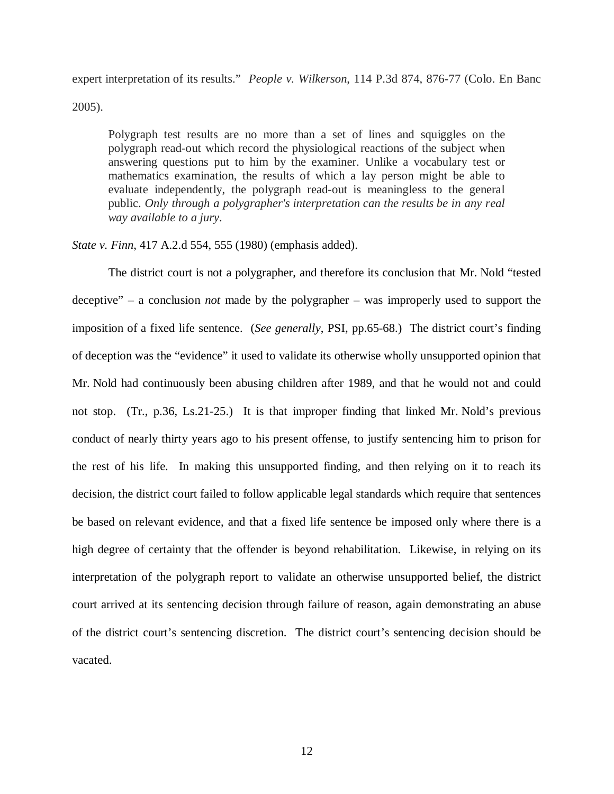expert interpretation of its results." *People v. Wilkerson*, 114 P.3d 874, 876-77 (Colo. En Banc 2005).

Polygraph test results are no more than a set of lines and squiggles on the polygraph read-out which record the physiological reactions of the subject when answering questions put to him by the examiner. Unlike a vocabulary test or mathematics examination, the results of which a lay person might be able to evaluate independently, the polygraph read-out is meaningless to the general public. *Only through a polygrapher's interpretation can the results be in any real way available to a jury*.

*State v. Finn*, 417 A.2.d 554, 555 (1980) (emphasis added).

The district court is not a polygrapher, and therefore its conclusion that Mr. Nold "tested deceptive" – a conclusion *not* made by the polygrapher – was improperly used to support the imposition of a fixed life sentence. (*See generally*, PSI, pp.65-68.) The district court's finding of deception was the "evidence" it used to validate its otherwise wholly unsupported opinion that Mr. Nold had continuously been abusing children after 1989, and that he would not and could not stop. (Tr., p.36, Ls.21-25.) It is that improper finding that linked Mr. Nold's previous conduct of nearly thirty years ago to his present offense, to justify sentencing him to prison for the rest of his life. In making this unsupported finding, and then relying on it to reach its decision, the district court failed to follow applicable legal standards which require that sentences be based on relevant evidence, and that a fixed life sentence be imposed only where there is a high degree of certainty that the offender is beyond rehabilitation. Likewise, in relying on its interpretation of the polygraph report to validate an otherwise unsupported belief, the district court arrived at its sentencing decision through failure of reason, again demonstrating an abuse of the district court's sentencing discretion. The district court's sentencing decision should be vacated.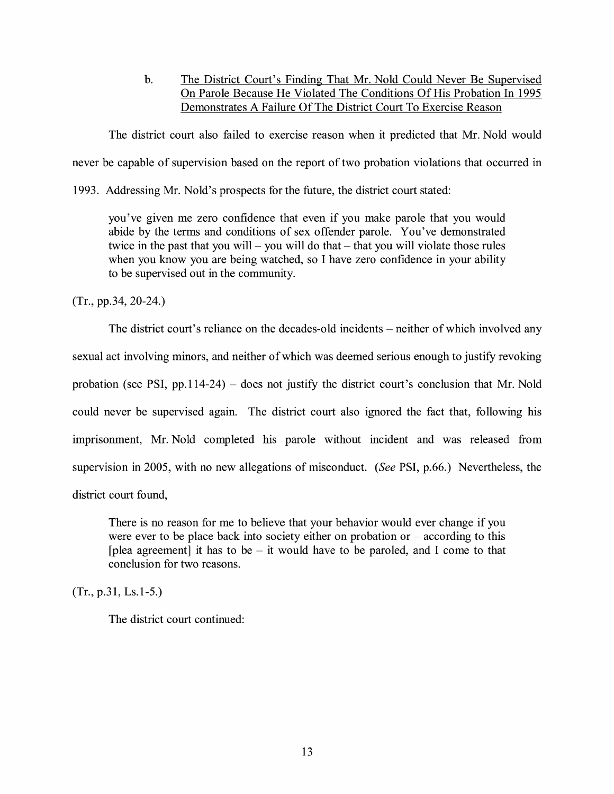b. The District Court's Finding That Mr. Nold Could Never Be Supervised On Parole Because He Violated The Conditions Of His Probation In 1995 Demonstrates A Failure Of The District Court To Exercise Reason

The district court also failed to exercise reason when it predicted that Mr. Nold would never be capable of supervision based on the report of two probation violations that occurred in

1993. Addressing Mr. Nold's prospects for the future, the district court stated:

you've given me zero confidence that even if you make parole that you would abide by the terms and conditions of sex offender parole. You've demonstrated twice in the past that you will – you will do that  $-$  that you will violate those rules when you know you are being watched, so I have zero confidence in your ability to be supervised out in the community.

(Tr., pp.34, 20-24.)

The district court's reliance on the decades-old incidents – neither of which involved any sexual act involving minors, and neither of which was deemed serious enough to justify revoking probation (see PSI, pp.114-24) – does not justify the district court's conclusion that Mr. Nold could never be supervised again. The district court also ignored the fact that, following his imprisonment, Mr. Nold completed his parole without incident and was released from supervision in 2005, with no new allegations of misconduct. *(See* PSI, p.66.) Nevertheless, the district court found,

There is no reason for me to believe that your behavior would ever change if you were ever to be place back into society either on probation or  $-$  according to this [plea agreement] it has to be  $-$  it would have to be paroled, and I come to that conclusion for two reasons.

(Tr., p.31, Ls.1-5.)

The district court continued: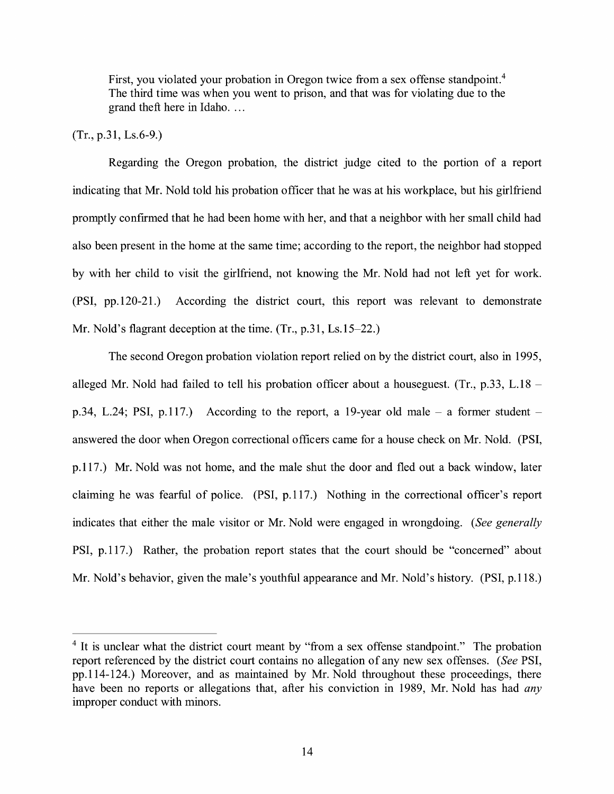First, you violated your probation in Oregon twice from a sex offense standpoint.<sup>4</sup> The third time was when you went to prison, and that was for violating due to the grand theft here in Idaho...

### (Tr., p.31, Ls.6-9.)

Regarding the Oregon probation, the district judge cited to the portion of a report indicating that Mr. Nold told his probation officer that he was at his workplace, but his girlfriend promptly confirmed that he had been home with her, and that a neighbor with her small child had also been present in the home at the same time; according to the report, the neighbor had stopped by with her child to visit the girlfriend, not knowing the Mr. Nold had not left yet for work. (PSI, pp.120-21.) According the district court, this report was relevant to demonstrate Mr. Nold's flagrant deception at the time.  $(Tr, p.31, Ls.15-22.)$ 

The second Oregon probation violation report relied on by the district court, also in 1995, alleged Mr. Nold had failed to tell his probation officer about a houseguest. (Tr., p.33, L.18  $$ p.34, L.24; PSI, p.117.) According to the report, a 19-year old male  $-$  a former student  $$ answered the door when Oregon correctional officers came for a house check on Mr. Nold. (PSI, p.117.) Mr. Nold was not home, and the male shut the door and fled out a back window, later claiming he was fearful of police. (PSI, p.117.) Nothing in the correctional officer's report indicates that either the male visitor or Mr. Nold were engaged in wrongdoing. *(See generally*  PSI, p.117.) Rather, the probation report states that the court should be "concerned" about Mr. Nold's behavior, given the male's youthful appearance and Mr. Nold's history. (PSI, p.118.)

<sup>&</sup>lt;sup>4</sup> It is unclear what the district court meant by "from a sex offense standpoint." The probation report referenced by the district court contains no allegation of any new sex offenses. *(See* PSI, pp.114-124.) Moreover, and as maintained by Mr. Nold throughout these proceedings, there have been no reports or allegations that, after his conviction in 1989, Mr. Nold has had *any*  improper conduct with minors.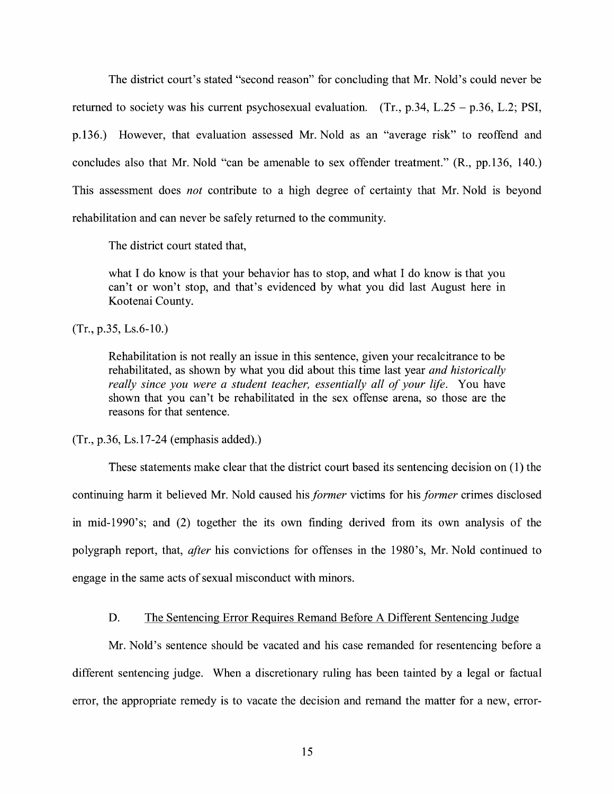The district court's stated "second reason" for concluding that Mr. Nold's could never be returned to society was his current psychosexual evaluation. (Tr., p.34, L.25 - p.36, L.2; **PSI,**  p.136.) However, that evaluation assessed Mr. Nold as an "average risk" to reoffend and concludes also that Mr. Nold "can be amenable to sex offender treatment." **(R.,** pp.136, 140.) This assessment does *not* contribute to a high degree of certainty that Mr. Nold is beyond rehabilitation and can never be safely returned to the community.

The district court stated that,

what I do know is that your behavior has to stop, and what I do know is that you can't or won't stop, and that's evidenced by what you did last August here in Kootenai County.

(Tr., p.35, Ls.6-10.)

Rehabilitation is not really an issue in this sentence, given your recalcitrance to be rehabilitated, as shown by what you did about this time last year *and historically really since you were a student teacher, essentially all of your life.* You have shown that you can't be rehabilitated in the sex offense arena, so those are the reasons for that sentence.

(Tr., p.36, Ls.17-24 (emphasis added).)

These statements make clear that the district court based its sentencing decision on ( 1) the continuing harm it believed Mr. Nold caused his *former* victims for his *former* crimes disclosed in mid-1990's; and (2) together the its own finding derived from its own analysis of the polygraph report, that, *after* his convictions for offenses in the 1980's, Mr. Nold continued to engage in the same acts of sexual misconduct with minors.

#### D. The Sentencing Error Requires Remand Before A Different Sentencing Judge

Mr. Nold's sentence should be vacated and his case remanded for resentencing before a different sentencing judge. When a discretionary ruling has been tainted by a legal or factual error, the appropriate remedy is to vacate the decision and remand the matter for a new, error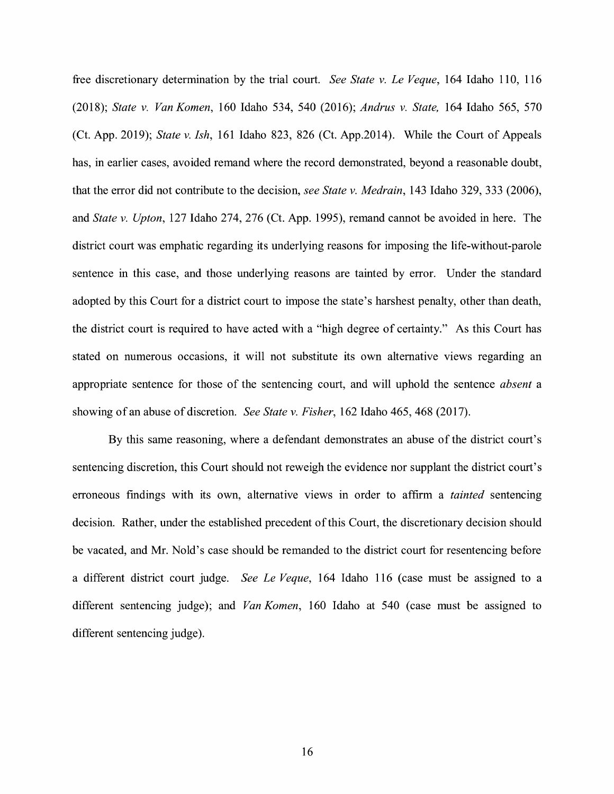free discretionary determination by the trial court. *See State v. Le Veque,* 164 Idaho 110, 116 (2018); *State v. Van Kamen,* 160 Idaho 534, 540 (2016); *Andrus v. State,* 164 Idaho 565, 570 (Ct. App. 2019); *State v. Ish,* 161 Idaho 823, 826 (Ct. App.2014). While the Court of Appeals has, in earlier cases, avoided remand where the record demonstrated, beyond a reasonable doubt, that the error did not contribute to the decision, *see State v. Medrain,* 143 Idaho 329, 333 (2006), and *State v. Upton,* 127 Idaho 274, 276 (Ct. App. 1995), remand cannot be avoided in here. The district court was emphatic regarding its underlying reasons for imposing the life-without-parole sentence in this case, and those underlying reasons are tainted by error. Under the standard adopted by this Court for a district court to impose the state's harshest penalty, other than death, the district court is required to have acted with a "high degree of certainty." As this Court has stated on numerous occasions, it will not substitute its own alternative views regarding an appropriate sentence for those of the sentencing court, and will uphold the sentence *absent* a showing of an abuse of discretion. *See State v. Fisher,* 162 Idaho 465, 468 (2017).

By this same reasoning, where a defendant demonstrates an abuse of the district court's sentencing discretion, this Court should not reweigh the evidence nor supplant the district court's erroneous findings with its own, alternative views in order to affirm a *tainted* sentencing decision. Rather, under the established precedent of this Court, the discretionary decision should be vacated, and Mr. Nold's case should be remanded to the district court for resentencing before a different district court judge. *See Le Veque,* 164 Idaho 116 ( case must be assigned to a different sentencing judge); and *Van Komen*, 160 Idaho at 540 (case must be assigned to different sentencing judge).